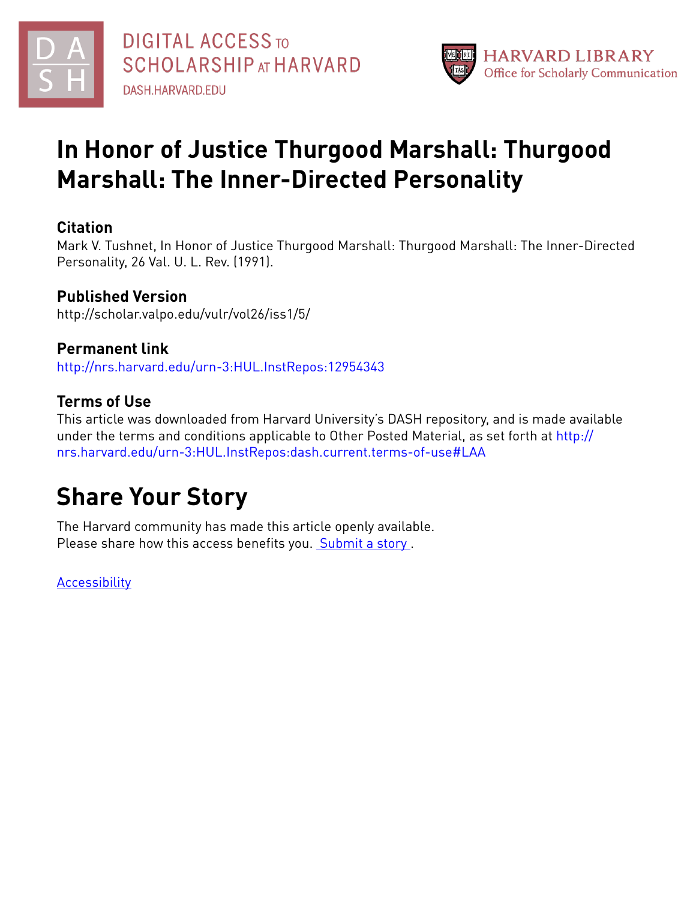



# **In Honor of Justice Thurgood Marshall: Thurgood Marshall: The Inner-Directed Personality**

## **Citation**

Mark V. Tushnet, In Honor of Justice Thurgood Marshall: Thurgood Marshall: The Inner-Directed Personality, 26 Val. U. L. Rev. (1991).

## **Published Version**

http://scholar.valpo.edu/vulr/vol26/iss1/5/

## **Permanent link**

<http://nrs.harvard.edu/urn-3:HUL.InstRepos:12954343>

## **Terms of Use**

This article was downloaded from Harvard University's DASH repository, and is made available under the terms and conditions applicable to Other Posted Material, as set forth at [http://](http://nrs.harvard.edu/urn-3:HUL.InstRepos:dash.current.terms-of-use#LAA) [nrs.harvard.edu/urn-3:HUL.InstRepos:dash.current.terms-of-use#LAA](http://nrs.harvard.edu/urn-3:HUL.InstRepos:dash.current.terms-of-use#LAA)

## **Share Your Story**

The Harvard community has made this article openly available. Please share how this access benefits you. [Submit](http://osc.hul.harvard.edu/dash/open-access-feedback?handle=&title=In%20Honor%20of%20Justice%20Thurgood%20Marshall:%20Thurgood%20Marshall:%20The%20Inner-Directed%20Personality&community=1/7&collection=1/8&owningCollection1/8&harvardAuthors=9fab14fbbf26184d8e9f87c9b272ab10&department) a story.

**[Accessibility](https://dash.harvard.edu/pages/accessibility)**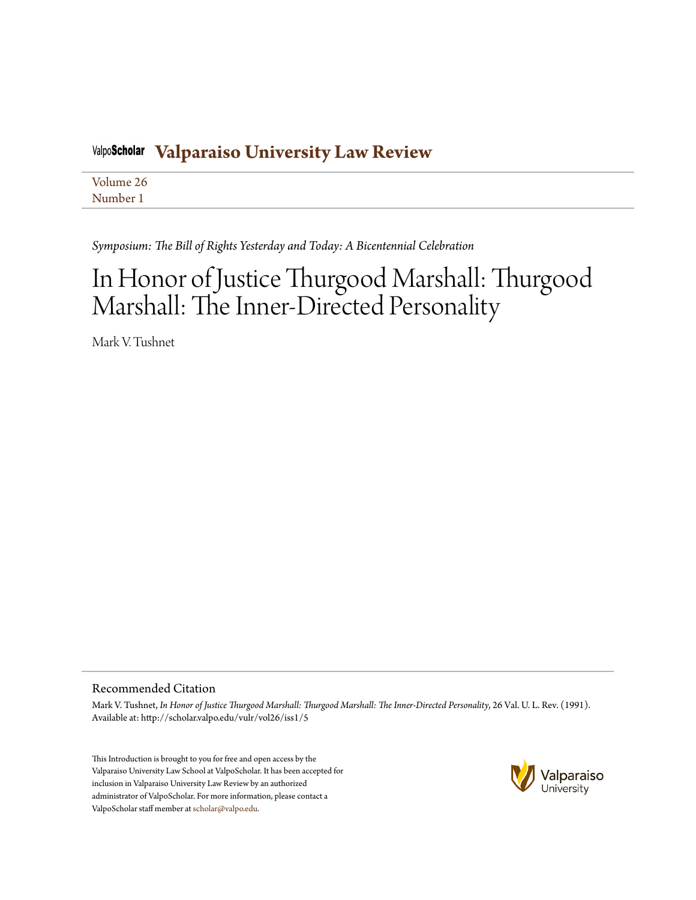#### **[Valparaiso University Law Review](http://scholar.valpo.edu/vulr)** ValpoScholar

[Volume 26](http://scholar.valpo.edu/vulr/vol26) [Number 1](http://scholar.valpo.edu/vulr/vol26/iss1)

*Symposium: The Bill of Rights Yesterday and Today: A Bicentennial Celebration*

# In Honor of Justice Thurgood Marshall: Thurgood Marshall: The Inner-Directed Personality

Mark V. Tushnet

### Recommended Citation

Mark V. Tushnet, *In Honor of Justice Thurgood Marshall: Thurgood Marshall: The Inner-Directed Personality*, 26 Val. U. L. Rev. (1991). Available at: http://scholar.valpo.edu/vulr/vol26/iss1/5

This Introduction is brought to you for free and open access by the Valparaiso University Law School at ValpoScholar. It has been accepted for inclusion in Valparaiso University Law Review by an authorized administrator of ValpoScholar. For more information, please contact a ValpoScholar staff member at [scholar@valpo.edu.](mailto:scholar@valpo.edu)

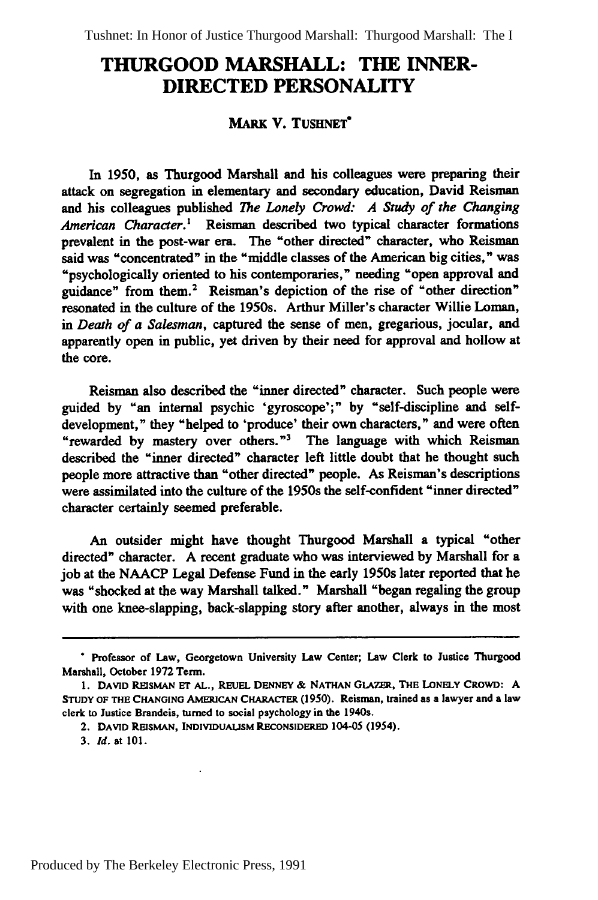### **THURGOOD MARSHALL: THE INNER-DIRECTED PERSONALITY**

#### **MARK V. TUSHNET"**

**In 1950,** as Thurgood Marshall and his colleagues were preparing their attack on segregation in elementary and secondary education, David Reisman and his colleagues published *The Lonely Crowd: A Study of the Changing American Character.'* Reisman described two typical character formations prevalent in the post-war era. The "other directed" character, who Reisman said was "concentrated" in the "middle classes of the American big cities," was "psychologically oriented to his contemporaries," needing "open approval and guidance" from them.2 Reisman's depiction of the rise of "other direction" resonated in the culture of the 1950s. Arthur Miller's character Willie Loman, *in Death of a Salesman,* captured the sense of men, gregarious, jocular, and apparently open in public, yet driven **by** their need for approval and hollow at the core.

Reisman also described the "inner directed" character. Such people were guided **by** "an internal psychic 'gyroscope';" **by** "self-discipline and selfdevelopment," they "helped to 'produce' their own characters," and were often "rewarded **by** mastery over others."' The language with which **Reisman** described the "inner directed" character left little doubt that he thought such people more attractive than "other directed" people. As Reisman's descriptions were assimilated into the culture of the 1950s the self-confident "inner directed" character certainly seemed preferable.

An outsider might have thought Thurgood Marshall a typical "other directed" character. **A** recent graduate who was interviewed **by** Marshall for a **job** at the **NAACP** Legal Defense Fund in the early 1950s later reported that he was "shocked at the way Marshall talked." Marshall "began regaling the group with one knee-slapping, back-slapping story after another, always in the most

**<sup>\*</sup>** Professor of Law, Georgetown University Law Center; Law Clerk to Justice Thurgood Marshall, October **1972** Term.

**<sup>1.</sup> DAVID REISMAN Er AL., REUEL DENNEY & NATHAN GLAZER, THE LONELY** CROWD: **A STUDY OF THE CHANGING AMERICAN CHARACTER (1950).** Reisman, trained as a lawyer and **a** law clerk to Justice Brandeis, turned to **social** psychology in the 1940s.

<sup>2.</sup> **DAVID REISMAN, INDIVIDUAuSM RECONSIDERED 104-05** (1954).

**<sup>3.</sup>** *Id.* at **101.**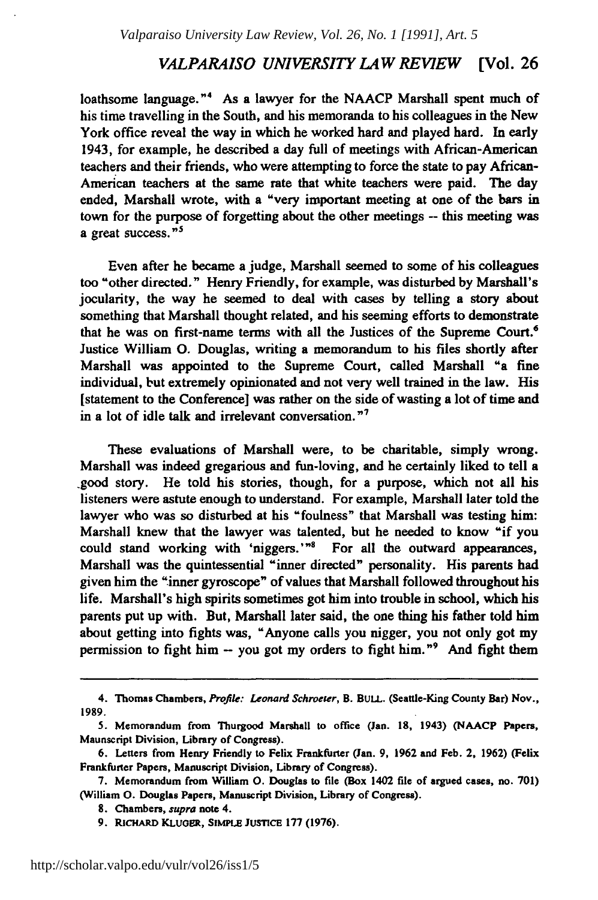#### *VALPARAISO UNIVERSITY LAW REVIEW* [Vol. **26**

loathsome language."<sup>4</sup> As a lawyer for the NAACP Marshall spent much of his time travelling in the South, and his memoranda to his colleagues in the New York office reveal the way in which he worked hard and played hard. In early 1943, for example, he described a day full of meetings with African-American teachers and their friends, who were attempting to force the state to pay African-American teachers at the same rate that white teachers were paid. The day ended, Marshall wrote, with a "very important meeting at one of the bars in town for the purpose of forgetting about the other meetings **--** this meeting was a great success."<sup>5</sup>

Even after he became a judge, Marshall seemed to some of his colleagues too "other directed." Henry Friendly, for example, was disturbed **by** Marshall's jocularity, the way he seemed to deal with cases **by** telling a story about something that Marshall thought related, and his seeming efforts to demonstrate that he was on first-name terms with all the Justices of the Supreme Court.6 Justice William **0.** Douglas, writing a memorandum to his files shortly after Marshall was appointed to the Supreme Court, called Marshall "a fine individual, but extremely opinionated and not very well trained in the law. His [statement to the Conference] was rather on the side of wasting a lot of time and in a lot of idle talk and irrelevant conversation. $<sup>n7</sup>$ </sup>

These evaluations of Marshall were, to be charitable, simply wrong. Marshall was indeed gregarious and fun-loving, and he certainly liked to tell a .good story. He told his stories, though, for a purpose, which not all his listeners were astute enough to understand. For example, Marshall later told the lawyer who was so disturbed at his "foulness" that Marshall was testing him: Marshall knew that the lawyer was talented, but he needed to know "if you could stand working with 'niggers.'" For all the outward appearances, Marshall was the quintessential "inner directed" personality. His parents had given him the "inner gyroscope" of values that Marshall followed throughout his life. Marshall's high spirits sometimes got him into trouble in school, which his parents put up with. But, Marshall later said, the one thing his father told him about getting into fights was, "Anyone calls you nigger, you not only got my permission to fight him **-** you got my orders to fight him."" And fight them

<sup>4.</sup> Thomas Chambers, **Profile:** Leonard Schroeter, B. BULL. (Seattle-King County Bar) Nov., **1989.**

**<sup>5.</sup>** Memorandum from Thurgood Marshall to office (Jan. **18,** 1943) **(NAACP** Papers, Maunscript Division, Library of Congress).

**<sup>6.</sup>** Letters from Henry Friendly to Felix Frankfurter (Jan. **9, 1962** and Feb. 2, **1962)** (Felix Frankfurter Papers, Manuscript Division, Library of Congress).

**<sup>7.</sup>** Memorandum from William **0.** Douglas to **file** (Box 1402 **file** of **argued** cases, no. **701)** (William **0.** Douglas Papers, Manuscript Division, Library of Congress).

**<sup>8.</sup>** Chambers, supra note 4.

**<sup>9.</sup> RicHARD** KLuoss, SIMPLE JUSTICE **177 (1976).**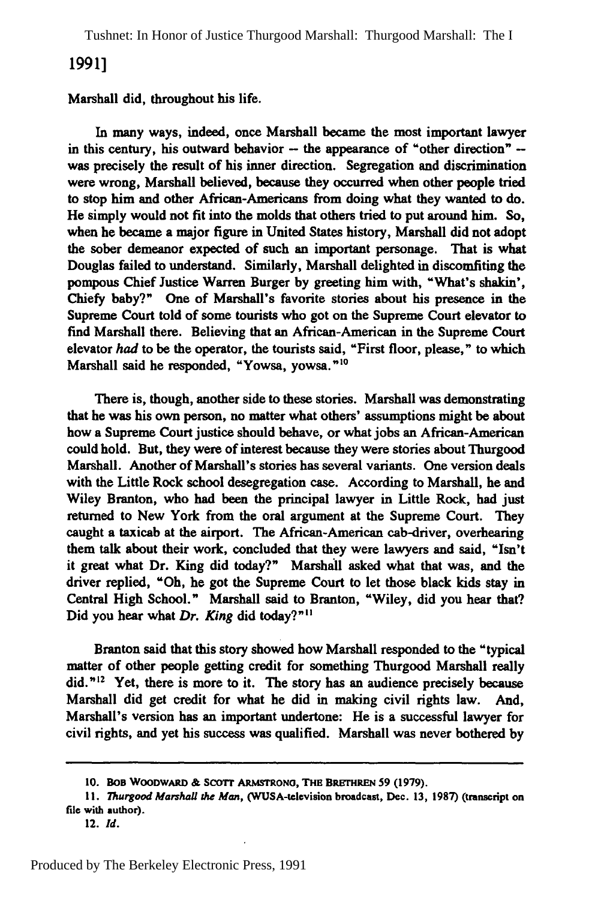Tushnet: In Honor of Justice Thurgood Marshall: Thurgood Marshall: The I

### **1991]**

#### Marshall did, throughout his life.

In many ways, indeed, once Marshall became the most important lawyer in this century, his outward behavior **-** the appearance of "other direction"  was precisely the result of his inner direction. Segregation and discrimination were wrong, Marshall believed, because they occurred when other people tried to stop him and other African-Americans from doing what they wanted to do. He simply would not fit into the molds that others tried to put around him. So, when he became a major figure in United States history, Marshall did not adopt the sober demeanor expected of such an important personage. That is what Douglas failed to understand. Similarly, Marshall delighted in discomfiting the pompous Chief Justice Warren Burger **by** greeting him with, "What's shakin', Chiefy baby?" One of Marshall's favorite stories about his presence in the Supreme Court told of some tourists who got on the Supreme Court elevator to find Marshall there. Believing that an African-American in the Supreme Court elevator *had* to be the operator, the tourists said, "First floor, please," to which Marshall said he responded, "Yowsa, yowsa."<sup>10</sup>

There is, though, another side to these stories. Marshall was demonstrating that he was his own person, no matter what others' assumptions might be about how a Supreme Court justice should behave, or what jobs an African-American could hold. But, they were of interest because they were stories about Thurgood Marshall. Another of Marshall's stories has several variants. One version deals with the Little Rock school desegregation case. According to Marshall, he and Wiley Branton, who had been the principal lawyer in Little Rock, had just returned to New York from the oral argument at the Supreme Court. They caught a taxicab at the airport. The African-American cab-driver, overhearing them talk about their work, concluded that they were lawyers and said, "Isn't it great what Dr. King did today?" Marshall asked what that was, and the driver replied, "Oh, he got the Supreme Court to let those black kids stay in Central High School." Marshall said to Branton, "Wiley, did you hear that? Did you hear what *Dr. King* did today?"<sup>11</sup>

Branton said that this story showed how Marshall responded to the "typical matter of other people getting credit for something Thurgood Marshall really did."<sup>12</sup> Yet, there is more to it. The story has an audience precisely because Marshall did get credit for what he did in making civil rights law. And, Marshall's version has an important undertone: He is a successful lawyer for civil rights, and yet his success was qualified. Marshall was never bothered **by**

**<sup>10.</sup> BOB** WooDwARD **& SCOTr ARMSTRONG,** THE **BRETHREN 59 (1979).**

*<sup>1</sup>I. Thurgood Marshall the Man,* (WUSA-television broadcast, Dec. **13, 1987)** (transcript on **file** with author).

<sup>12.</sup> *Id.*